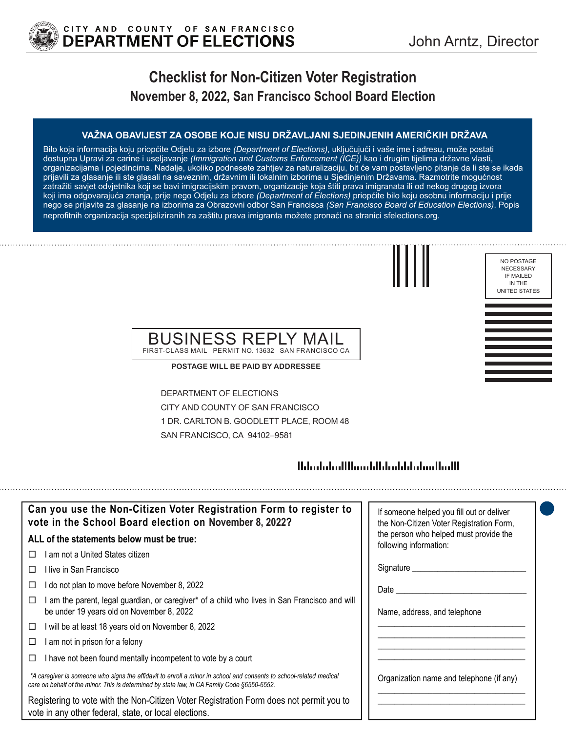

# **Checklist for Non-Citizen Voter Registration November 8, 2022, San Francisco School Board Election**

#### **VAŽNA OBAVIJEST ZA OSOBE KOJE NISU DRŽAVLJANI SJEDINJENIH AMERIČKIH DRŽAVA**

Bilo koja informacija koju priopćite Odjelu za izbore *(Department of Elections)*, uključujući i vaše ime i adresu, može postati dostupna Upravi za carine i useljavanje *(Immigration and Customs Enforcement (ICE))* kao i drugim tijelima državne vlasti, organizacijama i pojedincima. Nadalje, ukoliko podnesete zahtjev za naturalizaciju, bit će vam postavljeno pitanje da li ste se ikada prijavili za glasanje ili ste glasali na saveznim, državnim ili lokalnim izborima u Sjedinjenim Državama. Razmotrite mogućnost zatražiti savjet odvjetnika koji se bavi imigracijskim pravom, organizacije koja štiti prava imigranata ili od nekog drugog izvora koji ima odgovarajuća znanja, prije nego Odjelu za izbore *(Department of Elections)* priopćite bilo koju osobnu informaciju i prije nego se prijavite za glasanje na izborima za Obrazovni odbor San Francisca *(San Francisco Board of Education Elections)*. Popis neprofitnih organizacija specijaliziranih za zaštitu prava imigranta možete pronaći na stranici sfelections.org.

NECESSARY IF MAILED IN THE UNITED STATES

NO POSTAGE

### BUSINESS REPLY MAIL FIRST-CLASS MAIL PERMIT NO. 13632 SAN FRANCISCO CA

**POSTAGE WILL BE PAID BY ADDRESSEE**

DEPARTMENT OF ELECTIONS CITY AND COUNTY OF SAN FRANCISCO 1 DR. CARLTON B. GOODLETT PLACE, ROOM 48 SAN FRANCISCO, CA 94102–9581

## 

| Can you use the Non-Citizen Voter Registration Form to register to<br>vote in the School Board election on November 8, 2022?                                                                                      | If someone helped you fill out or deliver<br>the Non-Citizen Voter Registration Form, |
|-------------------------------------------------------------------------------------------------------------------------------------------------------------------------------------------------------------------|---------------------------------------------------------------------------------------|
| ALL of the statements below must be true:                                                                                                                                                                         | the person who helped must provide the<br>following information:                      |
| am not a United States citizen<br>$\perp$                                                                                                                                                                         |                                                                                       |
| l live in San Francisco                                                                                                                                                                                           |                                                                                       |
| do not plan to move before November 8, 2022                                                                                                                                                                       | Date $\_\_$                                                                           |
| am the parent, legal guardian, or caregiver* of a child who lives in San Francisco and will<br>be under 19 years old on November 8, 2022                                                                          | Name, address, and telephone                                                          |
| will be at least 18 years old on November 8, 2022<br>□                                                                                                                                                            |                                                                                       |
| am not in prison for a felony                                                                                                                                                                                     |                                                                                       |
| I have not been found mentally incompetent to vote by a court                                                                                                                                                     |                                                                                       |
| *A caregiver is someone who signs the affidavit to enroll a minor in school and consents to school-related medical<br>care on behalf of the minor. This is determined by state law, in CA Family Code §6550-6552. | Organization name and telephone (if any)                                              |
| Registering to vote with the Non-Citizen Voter Registration Form does not permit you to<br>vote in any other federal, state, or local elections.                                                                  |                                                                                       |